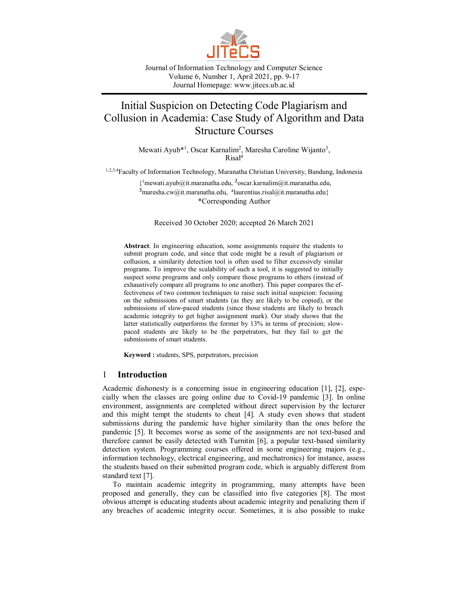

Journal of Information Technology and Computer Science Volume 6, Number 1, April 2021, pp. 9-17 Journal Homepage: www.jitecs.ub.ac.id

# Initial Suspicion on Detecting Code Plagiarism and Collusion in Academia: Case Study of Algorithm and Data Structure Courses

Mewati Ayub\*<sup>1</sup>, Oscar Karnalim<sup>2</sup>, Maresha Caroline Wijanto<sup>3</sup>, Risal<sup>4</sup>

1,2,3,4Faculty of Information Technology, Maranatha Christian University, Bandung, Indonesia

{ <sup>1</sup>mewati.ayub@it.maranatha.edu, 2 oscar.karnalim@it.maranatha.edu, <sup>3</sup> maresha.cw@it.maranatha.edu, <sup>4</sup> laurentius.risal@it.maranatha.edu } \*Corresponding Author

Received 30 October 2020; accepted 26 March 2021

**Abstract**. In engineering education, some assignments require the students to submit program code, and since that code might be a result of plagiarism or collusion, a similarity detection tool is often used to filter excessively similar programs. To improve the scalability of such a tool, it is suggested to initially suspect some programs and only compare those programs to others (instead of exhaustively compare all programs to one another). This paper compares the effectiveness of two common techniques to raise such initial suspicion: focusing on the submissions of smart students (as they are likely to be copied), or the submissions of slow-paced students (since those students are likely to breach academic integrity to get higher assignment mark). Our study shows that the latter statistically outperforms the former by 13% in terms of precision; slowpaced students are likely to be the perpetrators, but they fail to get the submissions of smart students.

**Keyword :** students, SPS, perpetrators, precision

## 1 **Introduction**

Academic dishonesty is a concerning issue in engineering education [1], [2], especially when the classes are going online due to Covid-19 pandemic [3]. In online environment, assignments are completed without direct supervision by the lecturer and this might tempt the students to cheat [4]. A study even shows that student submissions during the pandemic have higher similarity than the ones before the pandemic [5]. It becomes worse as some of the assignments are not text-based and therefore cannot be easily detected with Turnitin [6], a popular text-based similarity detection system. Programming courses offered in some engineering majors (e.g., information technology, electrical engineering, and mechatronics) for instance, assess the students based on their submitted program code, which is arguably different from standard text [7].

To maintain academic integrity in programming, many attempts have been proposed and generally, they can be classified into five categories [8]. The most obvious attempt is educating students about academic integrity and penalizing them if any breaches of academic integrity occur. Sometimes, it is also possible to make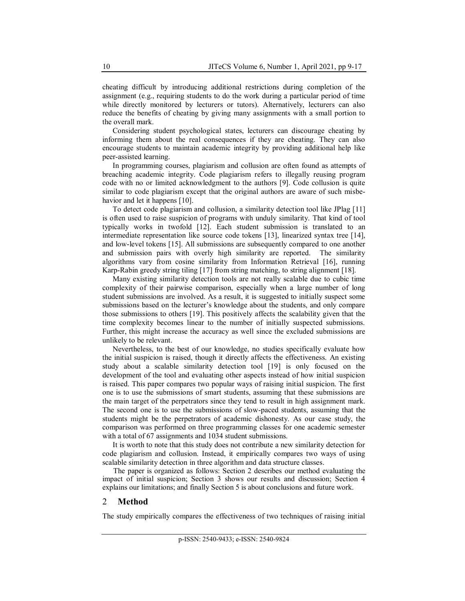cheating difficult by introducing additional restrictions during completion of the assignment (e.g., requiring students to do the work during a particular period of time while directly monitored by lecturers or tutors). Alternatively, lecturers can also reduce the benefits of cheating by giving many assignments with a small portion to the overall mark.

Considering student psychological states, lecturers can discourage cheating by informing them about the real consequences if they are cheating. They can also encourage students to maintain academic integrity by providing additional help like peer-assisted learning.

In programming courses, plagiarism and collusion are often found as attempts of breaching academic integrity. Code plagiarism refers to illegally reusing program code with no or limited acknowledgment to the authors [9]. Code collusion is quite similar to code plagiarism except that the original authors are aware of such misbehavior and let it happens [10].

To detect code plagiarism and collusion, a similarity detection tool like JPlag [11] is often used to raise suspicion of programs with unduly similarity. That kind of tool typically works in twofold [12]. Each student submission is translated to an intermediate representation like source code tokens [13], linearized syntax tree [14], and low-level tokens [15]. All submissions are subsequently compared to one another and submission pairs with overly high similarity are reported. The similarity algorithms vary from cosine similarity from Information Retrieval [16], running Karp-Rabin greedy string tiling [17] from string matching, to string alignment [18].

Many existing similarity detection tools are not really scalable due to cubic time complexity of their pairwise comparison, especially when a large number of long student submissions are involved. As a result, it is suggested to initially suspect some submissions based on the lecturer's knowledge about the students, and only compare those submissions to others [19]. This positively affects the scalability given that the time complexity becomes linear to the number of initially suspected submissions. Further, this might increase the accuracy as well since the excluded submissions are unlikely to be relevant.

Nevertheless, to the best of our knowledge, no studies specifically evaluate how the initial suspicion is raised, though it directly affects the effectiveness. An existing study about a scalable similarity detection tool [19] is only focused on the development of the tool and evaluating other aspects instead of how initial suspicion is raised. This paper compares two popular ways of raising initial suspicion. The first one is to use the submissions of smart students, assuming that these submissions are the main target of the perpetrators since they tend to result in high assignment mark. The second one is to use the submissions of slow-paced students, assuming that the students might be the perpetrators of academic dishonesty. As our case study, the comparison was performed on three programming classes for one academic semester with a total of 67 assignments and 1034 student submissions.

It is worth to note that this study does not contribute a new similarity detection for code plagiarism and collusion. Instead, it empirically compares two ways of using scalable similarity detection in three algorithm and data structure classes.

The paper is organized as follows: Section 2 describes our method evaluating the impact of initial suspicion; Section 3 shows our results and discussion; Section 4 explains our limitations; and finally Section 5 is about conclusions and future work.

### 2 **Method**

The study empirically compares the effectiveness of two techniques of raising initial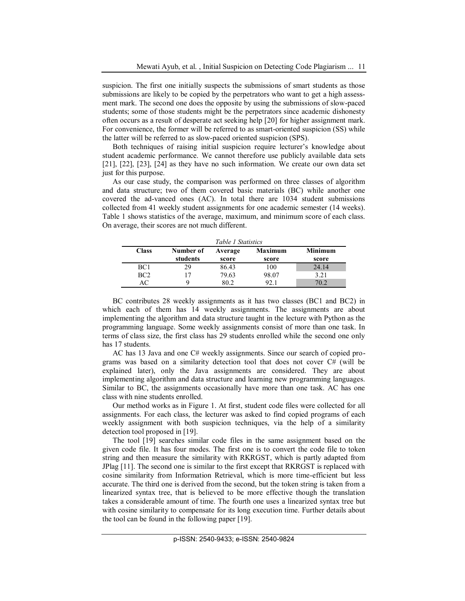suspicion. The first one initially suspects the submissions of smart students as those submissions are likely to be copied by the perpetrators who want to get a high assessment mark. The second one does the opposite by using the submissions of slow-paced students; some of those students might be the perpetrators since academic dishonesty often occurs as a result of desperate act seeking help [20] for higher assignment mark. For convenience, the former will be referred to as smart-oriented suspicion (SS) while the latter will be referred to as slow-paced oriented suspicion (SPS).

Both techniques of raising initial suspicion require lecturer's knowledge about student academic performance. We cannot therefore use publicly available data sets [21], [22], [23], [24] as they have no such information. We create our own data set just for this purpose.

As our case study, the comparison was performed on three classes of algorithm and data structure; two of them covered basic materials (BC) while another one covered the ad-vanced ones (AC). In total there are 1034 student submissions collected from 41 weekly student assignments for one academic semester (14 weeks). Table 1 shows statistics of the average, maximum, and minimum score of each class. On average, their scores are not much different.

|                 | Table 1 Statistics |         |                |         |  |
|-----------------|--------------------|---------|----------------|---------|--|
| <b>Class</b>    | Number of          | Average | <b>Maximum</b> | Minimum |  |
|                 | students           | score   | score          | score   |  |
| BC <sub>1</sub> | 29                 | 86.43   | 100            | 24.14   |  |
| BC2             | 17                 | 79.63   | 98.07          | 3.21    |  |
| AC              |                    | 80.2    | 92.1           | 70.2    |  |

BC contributes 28 weekly assignments as it has two classes (BC1 and BC2) in which each of them has 14 weekly assignments. The assignments are about implementing the algorithm and data structure taught in the lecture with Python as the programming language. Some weekly assignments consist of more than one task. In terms of class size, the first class has 29 students enrolled while the second one only has 17 students.

AC has 13 Java and one C# weekly assignments. Since our search of copied programs was based on a similarity detection tool that does not cover C# (will be explained later), only the Java assignments are considered. They are about implementing algorithm and data structure and learning new programming languages. Similar to BC, the assignments occasionally have more than one task. AC has one class with nine students enrolled.

Our method works as in Figure 1. At first, student code files were collected for all assignments. For each class, the lecturer was asked to find copied programs of each weekly assignment with both suspicion techniques, via the help of a similarity detection tool proposed in [19].

The tool [19] searches similar code files in the same assignment based on the given code file. It has four modes. The first one is to convert the code file to token string and then measure the similarity with RKRGST, which is partly adapted from JPlag [11]. The second one is similar to the first except that RKRGST is replaced with cosine similarity from Information Retrieval, which is more time-efficient but less accurate. The third one is derived from the second, but the token string is taken from a linearized syntax tree, that is believed to be more effective though the translation takes a considerable amount of time. The fourth one uses a linearized syntax tree but with cosine similarity to compensate for its long execution time. Further details about the tool can be found in the following paper [19].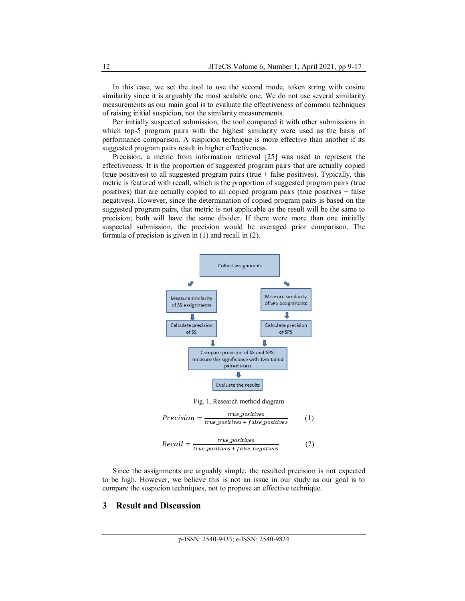In this case, we set the tool to use the second mode, token string with cosine similarity since it is arguably the most scalable one. We do not use several similarity measurements as our main goal is to evaluate the effectiveness of common techniques of raising initial suspicion, not the similarity measurements.

Per initially suspected submission, the tool compared it with other submissions in which top-5 program pairs with the highest similarity were used as the basis of performance comparison. A suspicion technique is more effective than another if its suggested program pairs result in higher effectiveness.

Precision, a metric from information retrieval [25] was used to represent the effectiveness. It is the proportion of suggested program pairs that are actually copied (true positives) to all suggested program pairs (true  $+$  false positives). Typically, this metric is featured with recall, which is the proportion of suggested program pairs (true positives) that are actually copied to all copied program pairs (true positives  $+$  false negatives). However, since the determination of copied program pairs is based on the suggested program pairs, that metric is not applicable as the result will be the same to precision; both will have the same divider. If there were more than one initially suspected submission, the precision would be averaged prior comparison. The formula of precision is given in (1) and recall in (2).



Since the assignments are arguably simple, the resulted precision is not expected to be high. However, we believe this is not an issue in our study as our goal is to compare the suspicion techniques, not to propose an effective technique.

## **3 Result and Discussion**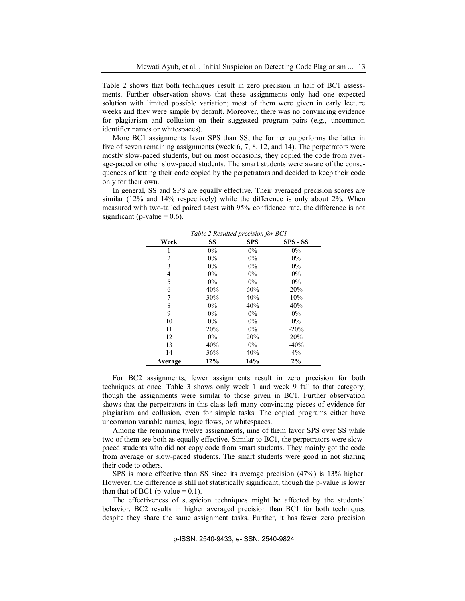Table 2 shows that both techniques result in zero precision in half of BC1 assessments. Further observation shows that these assignments only had one expected solution with limited possible variation; most of them were given in early lecture weeks and they were simple by default. Moreover, there was no convincing evidence for plagiarism and collusion on their suggested program pairs (e.g., uncommon identifier names or whitespaces).

More BC1 assignments favor SPS than SS; the former outperforms the latter in five of seven remaining assignments (week 6, 7, 8, 12, and 14). The perpetrators were mostly slow-paced students, but on most occasions, they copied the code from average-paced or other slow-paced students. The smart students were aware of the consequences of letting their code copied by the perpetrators and decided to keep their code only for their own.

In general, SS and SPS are equally effective. Their averaged precision scores are similar (12% and 14% respectively) while the difference is only about 2%. When measured with two-tailed paired t-test with 95% confidence rate, the difference is not significant (p-value  $= 0.6$ ).

| Week    | Table 2 Resulted precision for $D \cup I$<br>SS | <b>SPS</b> | $SPS - SS$ |
|---------|-------------------------------------------------|------------|------------|
|         | $0\%$                                           | $0\%$      | $0\%$      |
| 2       | $0\%$                                           | $0\%$      | $0\%$      |
| 3       | $0\%$                                           | $0\%$      | $0\%$      |
| 4       | $0\%$                                           | $0\%$      | $0\%$      |
| 5       | $0\%$                                           | $0\%$      | $0\%$      |
| 6       | 40%                                             | 60%        | 20%        |
| 7       | 30%                                             | 40%        | 10%        |
| 8       | $0\%$                                           | 40%        | 40%        |
| 9       | $0\%$                                           | $0\%$      | $0\%$      |
| 10      | $0\%$                                           | $0\%$      | $0\%$      |
| 11      | 20%                                             | $0\%$      | $-20%$     |
| 12      | $0\%$                                           | 20%        | 20%        |
| 13      | 40%                                             | $0\%$      | $-40%$     |
| 14      | 36%                                             | 40%        | 4%         |
| Average | 12%                                             | 14%        | 2%         |

*Table 2 Resulted precision for BC1*

For BC2 assignments, fewer assignments result in zero precision for both techniques at once. Table 3 shows only week 1 and week 9 fall to that category, though the assignments were similar to those given in BC1. Further observation shows that the perpetrators in this class left many convincing pieces of evidence for plagiarism and collusion, even for simple tasks. The copied programs either have uncommon variable names, logic flows, or whitespaces.

Among the remaining twelve assignments, nine of them favor SPS over SS while two of them see both as equally effective. Similar to BC1, the perpetrators were slowpaced students who did not copy code from smart students. They mainly got the code from average or slow-paced students. The smart students were good in not sharing their code to others.

SPS is more effective than SS since its average precision (47%) is 13% higher. However, the difference is still not statistically significant, though the p-value is lower than that of BC1 (p-value  $= 0.1$ ).

The effectiveness of suspicion techniques might be affected by the students' behavior. BC2 results in higher averaged precision than BC1 for both techniques despite they share the same assignment tasks. Further, it has fewer zero precision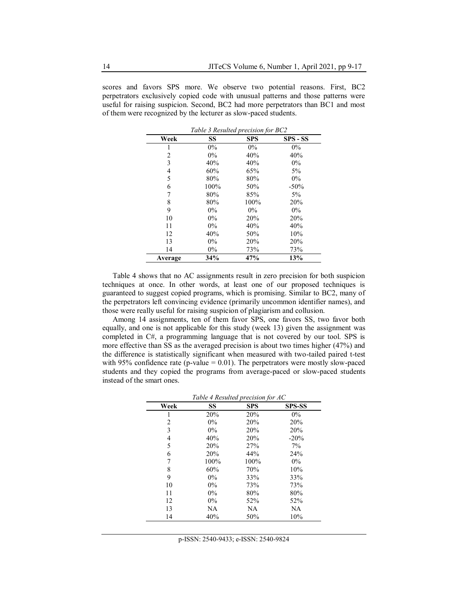scores and favors SPS more. We observe two potential reasons. First, BC2 perpetrators exclusively copied code with unusual patterns and those patterns were useful for raising suspicion. Second, BC2 had more perpetrators than BC1 and most of them were recognized by the lecturer as slow-paced students.

 $T$ *R*  $P$  **B** $R$ <sup>2</sup>  $P$   $P$   $P$ 

| Week           | SS    | <b>SPS</b> | SPS - SS |
|----------------|-------|------------|----------|
| 1              | $0\%$ | $0\%$      | $0\%$    |
| 2              | $0\%$ | 40%        | 40%      |
| 3              | 40%   | 40%        | $0\%$    |
| $\overline{4}$ | 60%   | 65%        | $5\%$    |
| 5              | 80%   | 80%        | $0\%$    |
| 6              | 100%  | 50%        | $-50%$   |
| 7              | 80%   | 85%        | $5\%$    |
| 8              | 80%   | 100%       | 20%      |
| 9              | $0\%$ | $0\%$      | $0\%$    |
| 10             | $0\%$ | 20%        | 20%      |
| 11             | $0\%$ | 40%        | 40%      |
| 12             | 40%   | 50%        | 10%      |
| 13             | $0\%$ | 20%        | 20%      |
| 14             | $0\%$ | 73%        | 73%      |
| Average        | 34%   | 47%        | 13%      |

Table 4 shows that no AC assignments result in zero precision for both suspicion techniques at once. In other words, at least one of our proposed techniques is guaranteed to suggest copied programs, which is promising. Similar to BC2, many of the perpetrators left convincing evidence (primarily uncommon identifier names), and those were really useful for raising suspicion of plagiarism and collusion.

Among 14 assignments, ten of them favor SPS, one favors SS, two favor both equally, and one is not applicable for this study (week 13) given the assignment was completed in C#, a programming language that is not covered by our tool. SPS is more effective than SS as the averaged precision is about two times higher (47%) and the difference is statistically significant when measured with two-tailed paired t-test with 95% confidence rate (p-value  $= 0.01$ ). The perpetrators were mostly slow-paced students and they copied the programs from average-paced or slow-paced students instead of the smart ones.

| Week | SS    | <b>SPS</b> | <b>SPS-SS</b> |
|------|-------|------------|---------------|
|      | 20%   | 20%        | $0\%$         |
| 2    | $0\%$ | 20%        | 20%           |
| 3    | $0\%$ | 20%        | 20%           |
| 4    | 40%   | 20%        | $-20%$        |
| 5    | 20%   | 27%        | 7%            |
| 6    | 20%   | 44%        | 24%           |
| 7    | 100%  | 100%       | $0\%$         |
| 8    | 60%   | 70%        | 10%           |
| 9    | $0\%$ | 33%        | 33%           |
| 10   | $0\%$ | 73%        | 73%           |
| 11   | $0\%$ | 80%        | 80%           |
| 12   | $0\%$ | 52%        | 52%           |
| 13   | NA    | NA         | <b>NA</b>     |
| 14   | 40%   | 50%        | 10%           |

*Table 4 Resulted precision for AC*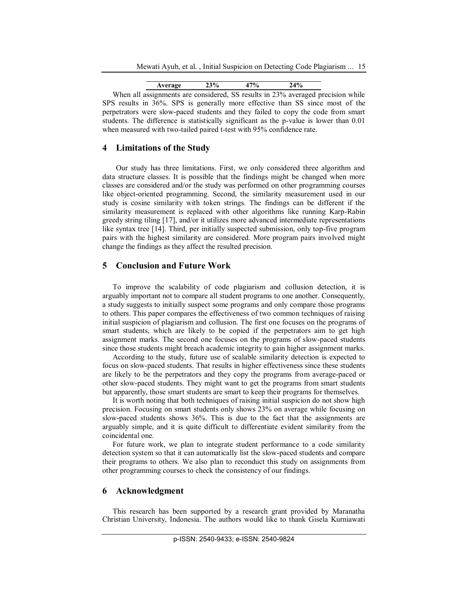Mewati Ayub, et al. , Initial Suspicion on Detecting Code Plagiarism ... 15

| ,, |  |  |
|----|--|--|
|    |  |  |

When all assignments are considered, SS results in 23% averaged precision while SPS results in 36%. SPS is generally more effective than SS since most of the perpetrators were slow-paced students and they failed to copy the code from smart students. The difference is statistically significant as the p-value is lower than 0.01 when measured with two-tailed paired t-test with 95% confidence rate.

## **4 Limitations of the Study**

Our study has three limitations. First, we only considered three algorithm and data structure classes. It is possible that the findings might be changed when more classes are considered and/or the study was performed on other programming courses like object-oriented programming. Second, the similarity measurement used in our study is cosine similarity with token strings. The findings can be different if the similarity measurement is replaced with other algorithms like running Karp-Rabin greedy string tiling [17], and/or it utilizes more advanced intermediate representations like syntax tree [14]. Third, per initially suspected submission, only top-five program pairs with the highest similarity are considered. More program pairs involved might change the findings as they affect the resulted precision.

# **5 Conclusion and Future Work**

To improve the scalability of code plagiarism and collusion detection, it is arguably important not to compare all student programs to one another. Consequently, a study suggests to initially suspect some programs and only compare those programs to others. This paper compares the effectiveness of two common techniques of raising initial suspicion of plagiarism and collusion. The first one focuses on the programs of smart students, which are likely to be copied if the perpetrators aim to get high assignment marks. The second one focuses on the programs of slow-paced students since those students might breach academic integrity to gain higher assignment marks.

According to the study, future use of scalable similarity detection is expected to focus on slow-paced students. That results in higher effectiveness since these students are likely to be the perpetrators and they copy the programs from average-paced or other slow-paced students. They might want to get the programs from smart students but apparently, those smart students are smart to keep their programs for themselves.

It is worth noting that both techniques of raising initial suspicion do not show high precision. Focusing on smart students only shows 23% on average while focusing on slow-paced students shows 36%. This is due to the fact that the assignments are arguably simple, and it is quite difficult to differentiate evident similarity from the coincidental one.

For future work, we plan to integrate student performance to a code similarity detection system so that it can automatically list the slow-paced students and compare their programs to others. We also plan to reconduct this study on assignments from other programming courses to check the consistency of our findings.

### **6 Acknowledgment**

This research has been supported by a research grant provided by Maranatha Christian University, Indonesia. The authors would like to thank Gisela Kurniawati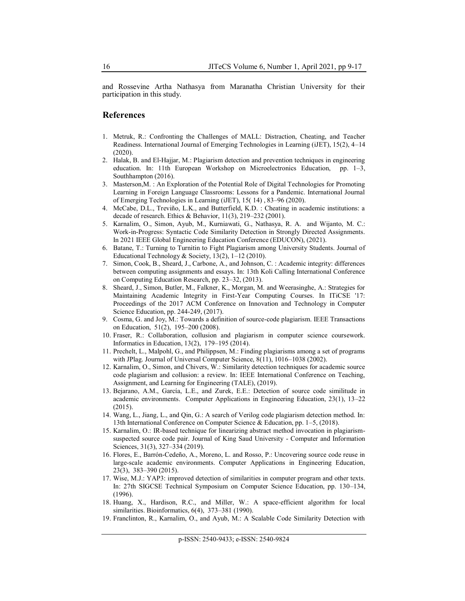and Rossevine Artha Nathasya from Maranatha Christian University for their participation in this study.

#### **References**

- 1. Metruk, R.: Confronting the Challenges of MALL: Distraction, Cheating, and Teacher Readiness. International Journal of Emerging Technologies in Learning (iJET), 15(2), 4–14 (2020).
- 2. Halak, B. and El-Hajjar, M.: Plagiarism detection and prevention techniques in engineering education. In: 11th European Workshop on Microelectronics Education, pp. 1–3, Southhampton (2016).
- 3. Masterson,M. : An Exploration of the Potential Role of Digital Technologies for Promoting Learning in Foreign Language Classrooms: Lessons for a Pandemic. International Journal of Emerging Technologies in Learning (iJET), 15( 14) , 83–96 (2020).
- 4. McCabe, D.L., Treviño, L.K., and Butterfield, K.D. : Cheating in academic institutions: a decade of research. Ethics & Behavior, 11(3), 219–232 (2001).
- 5. Karnalim, O., Simon, Ayub, M., Kurniawati, G., Nathasya, R. A. and Wijanto, M. C.: Work-in-Progress: Syntactic Code Similarity Detection in Strongly Directed Assignments. In 2021 IEEE Global Engineering Education Conference (EDUCON), (2021).
- 6. Batane, T.: Turning to Turnitin to Fight Plagiarism among University Students. Journal of Educational Technology & Society, 13(2), 1–12 (2010).
- 7. Simon, Cook, B., Sheard, J., Carbone, A., and Johnson, C. : Academic integrity: differences between computing assignments and essays. In: 13th Koli Calling International Conference on Computing Education Research, pp. 23–32, (2013).
- 8. Sheard, J., Simon, Butler, M., Falkner, K., Morgan, M. and Weerasinghe, A.: Strategies for Maintaining Academic Integrity in First-Year Computing Courses. In ITiCSE '17: Proceedings of the 2017 ACM Conference on Innovation and Technology in Computer Science Education, pp. 244-249, (2017).
- 9. Cosma, G. and Joy, M.: Towards a definition of source-code plagiarism. IEEE Transactions on Education, 51(2), 195–200 (2008).
- 10. Fraser, R.: Collaboration, collusion and plagiarism in computer science coursework. Informatics in Education, 13(2), 179–195 (2014).
- 11. Prechelt, L., Malpohl, G., and Philippsen, M.: Finding plagiarisms among a set of programs with JPlag. Journal of Universal Computer Science, 8(11), 1016–1038 (2002).
- 12. Karnalim, O., Simon, and Chivers, W.: Similarity detection techniques for academic source code plagiarism and collusion: a review. In: IEEE International Conference on Teaching, Assignment, and Learning for Engineering (TALE), (2019).
- 13. Bejarano, A.M., García, L.E., and Zurek, E.E.: Detection of source code similitude in academic environments. Computer Applications in Engineering Education, 23(1), 13–22  $(2015)$ .
- 14. Wang, L., Jiang, L., and Qin, G.: A search of Verilog code plagiarism detection method. In: 13th International Conference on Computer Science & Education, pp. 1–5, (2018).
- 15. Karnalim, O.: IR-based technique for linearizing abstract method invocation in plagiarismsuspected source code pair. Journal of King Saud University - Computer and Information Sciences, 31(3), 327–334 (2019).
- 16. Flores, E., Barrón-Cedeño, A., Moreno, L. and Rosso, P.: Uncovering source code reuse in large-scale academic environments. Computer Applications in Engineering Education, 23(3), 383–390 (2015).
- 17. Wise, M.J.: YAP3: improved detection of similarities in computer program and other texts. In: 27th SIGCSE Technical Symposium on Computer Science Education, pp. 130–134, (1996).
- 18. Huang, X., Hardison, R.C., and Miller, W.: A space-efficient algorithm for local similarities. Bioinformatics, 6(4), 373–381 (1990).
- 19. Franclinton, R., Karnalim, O., and Ayub, M.: A Scalable Code Similarity Detection with